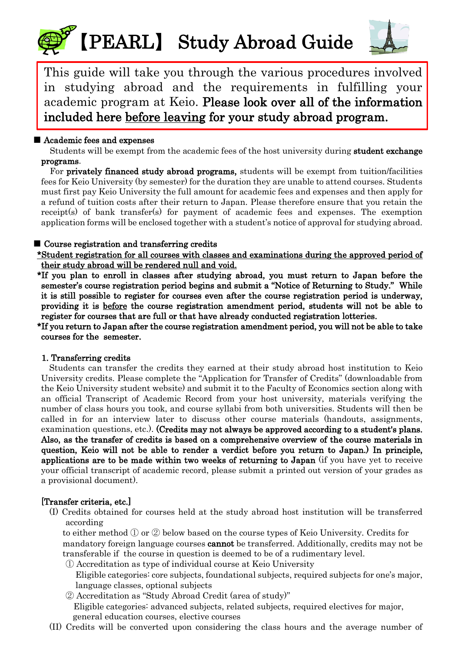# 【PEARL】 Study Abroad Guide



This guide will take you through the various procedures involved in studying abroad and the requirements in fulfilling your academic program at Keio. Please look over all of the information included here before leaving for your study abroad program.

## ■ Academic fees and expenses

 Students will be exempt from the academic fees of the host university during student exchange programs.

For **privately financed study abroad programs**, students will be exempt from tuition/facilities fees for Keio University (by semester) for the duration they are unable to attend courses. Students must first pay Keio University the full amount for academic fees and expenses and then apply for a refund of tuition costs after their return to Japan. Please therefore ensure that you retain the receipt(s) of bank transfer(s) for payment of academic fees and expenses. The exemption application forms will be enclosed together with a student's notice of approval for studying abroad.

## ■ Course registration and transferring credits

\*Student registration for all courses with classes and examinations during the approved period of their study abroad will be rendered null and void.

\*If you plan to enroll in classes after studying abroad, you must return to Japan before the semester's course registration period begins and submit a "Notice of Returning to Study." While it is still possible to register for courses even after the course registration period is underway, providing it is before the course registration amendment period, students will not be able to register for courses that are full or that have already conducted registration lotteries.

\*If you return to Japan after the course registration amendment period, you will not be able to take courses for the semester.

## 1. Transferring credits

Students can transfer the credits they earned at their study abroad host institution to Keio University credits. Please complete the "Application for Transfer of Credits" (downloadable from the Keio University student website) and submit it to the Faculty of Economics section along with an official Transcript of Academic Record from your host university, materials verifying the number of class hours you took, and course syllabi from both universities. Students will then be called in for an interview later to discuss other course materials (handouts, assignments, examination questions, etc.). (Credits may not always be approved according to a student's plans. Also, as the transfer of credits is based on a comprehensive overview of the course materials in question, Keio will not be able to render a verdict before you return to Japan.) In principle, applications are to be made within two weeks of returning to Japan (if you have yet to receive your official transcript of academic record, please submit a printed out version of your grades as a provisional document).

## [Transfer criteria, etc.]

(I) Credits obtained for courses held at the study abroad host institution will be transferred according

to either method ① or ② below based on the course types of Keio University. Credits for mandatory foreign language courses **cannot** be transferred. Additionally, credits may not be transferable if the course in question is deemed to be of a rudimentary level.

① Accreditation as type of individual course at Keio University

 Eligible categories: core subjects, foundational subjects, required subjects for one's major, language classes, optional subjects

② Accreditation as "Study Abroad Credit (area of study)" Eligible categories: advanced subjects, related subjects, required electives for major, general education courses, elective courses

(II) Credits will be converted upon considering the class hours and the average number of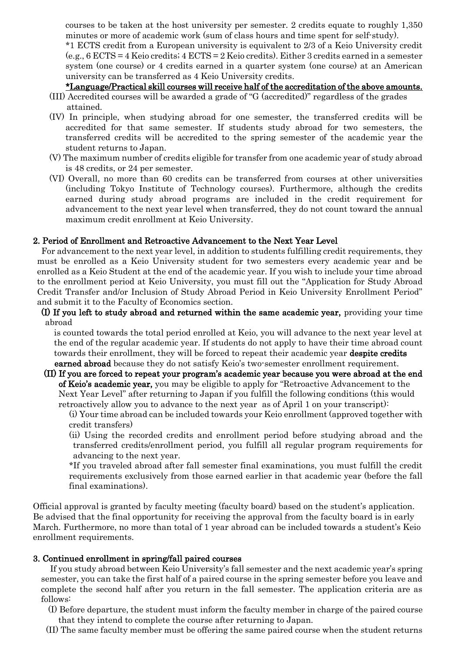courses to be taken at the host university per semester. 2 credits equate to roughly 1,350 minutes or more of academic work (sum of class hours and time spent for self-study).

\*1 ECTS credit from a European university is equivalent to 2/3 of a Keio University credit  $(e.g., 6 ECTS = 4 Keio credits; 4 ECTS = 2 Keio credits). Either 3 credits earned in a semester$ system (one course) or 4 credits earned in a quarter system (one course) at an American university can be transferred as 4 Keio University credits.

\*Language/Practical skill courses will receive half of the accreditation of the above amounts.

- (III) Accredited courses will be awarded a grade of "G (accredited)" regardless of the grades attained.
- (IV) In principle, when studying abroad for one semester, the transferred credits will be accredited for that same semester. If students study abroad for two semesters, the transferred credits will be accredited to the spring semester of the academic year the student returns to Japan.
- (V) The maximum number of credits eligible for transfer from one academic year of study abroad is 48 credits, or 24 per semester.
- (VI) Overall, no more than 60 credits can be transferred from courses at other universities (including Tokyo Institute of Technology courses). Furthermore, although the credits earned during study abroad programs are included in the credit requirement for advancement to the next year level when transferred, they do not count toward the annual maximum credit enrollment at Keio University.

#### 2. Period of Enrollment and Retroactive Advancement to the Next Year Level

For advancement to the next year level, in addition to students fulfilling credit requirements, they must be enrolled as a Keio University student for two semesters every academic year and be enrolled as a Keio Student at the end of the academic year. If you wish to include your time abroad to the enrollment period at Keio University, you must fill out the "Application for Study Abroad Credit Transfer and/or Inclusion of Study Abroad Period in Keio University Enrollment Period" and submit it to the Faculty of Economics section.

(I) If you left to study abroad and returned within the same academic year, providing your time abroad

is counted towards the total period enrolled at Keio, you will advance to the next year level at the end of the regular academic year. If students do not apply to have their time abroad count towards their enrollment, they will be forced to repeat their academic year despite credits earned abroad because they do not satisfy Keio's two-semester enrollment requirement.

- (II) If you are forced to repeat your program's academic year because you were abroad at the end of Keio's academic year, you may be eligible to apply for "Retroactive Advancement to the Next Year Level" after returning to Japan if you fulfill the following conditions (this would retroactively allow you to advance to the next year as of April 1 on your transcript):
	- (i) Your time abroad can be included towards your Keio enrollment (approved together with credit transfers)
	- (ii) Using the recorded credits and enrollment period before studying abroad and the transferred credits/enrollment period, you fulfill all regular program requirements for advancing to the next year.

\*If you traveled abroad after fall semester final examinations, you must fulfill the credit requirements exclusively from those earned earlier in that academic year (before the fall final examinations).

Official approval is granted by faculty meeting (faculty board) based on the student's application. Be advised that the final opportunity for receiving the approval from the faculty board is in early March. Furthermore, no more than total of 1 year abroad can be included towards a student's Keio enrollment requirements.

#### 3. Continued enrollment in spring/fall paired courses

 If you study abroad between Keio University's fall semester and the next academic year's spring semester, you can take the first half of a paired course in the spring semester before you leave and complete the second half after you return in the fall semester. The application criteria are as follows:

 (I) Before departure, the student must inform the faculty member in charge of the paired course that they intend to complete the course after returning to Japan.

(II) The same faculty member must be offering the same paired course when the student returns